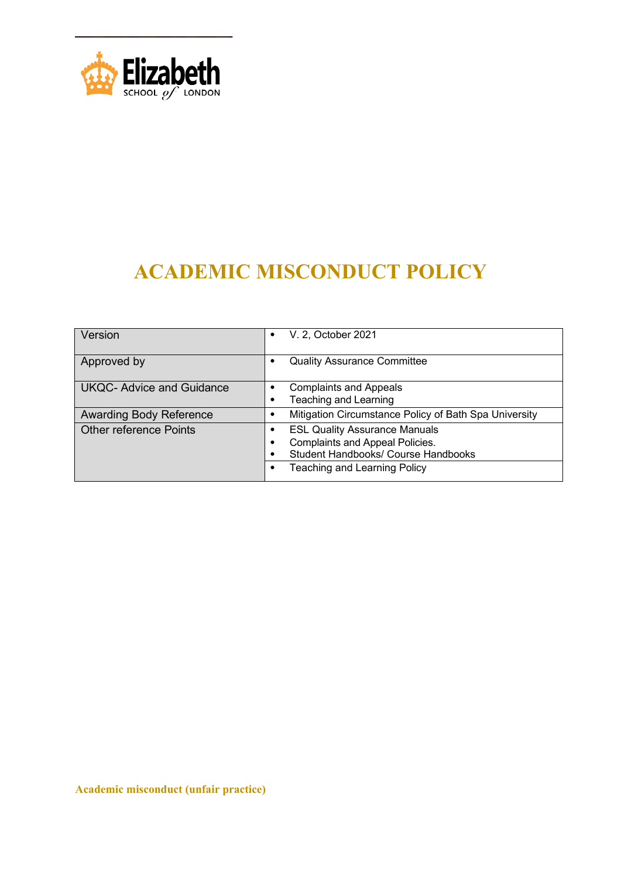

# **ACADEMIC MISCONDUCT POLICY**

| Version                          | V. 2, October 2021<br>٠                                                                                                                                         |
|----------------------------------|-----------------------------------------------------------------------------------------------------------------------------------------------------------------|
| Approved by                      | <b>Quality Assurance Committee</b><br>٠                                                                                                                         |
| <b>UKQC- Advice and Guidance</b> | <b>Complaints and Appeals</b><br>٠<br><b>Teaching and Learning</b>                                                                                              |
| <b>Awarding Body Reference</b>   | Mitigation Circumstance Policy of Bath Spa University                                                                                                           |
| <b>Other reference Points</b>    | <b>ESL Quality Assurance Manuals</b><br>Complaints and Appeal Policies.<br>٠<br>Student Handbooks/ Course Handbooks<br>٠<br><b>Teaching and Learning Policy</b> |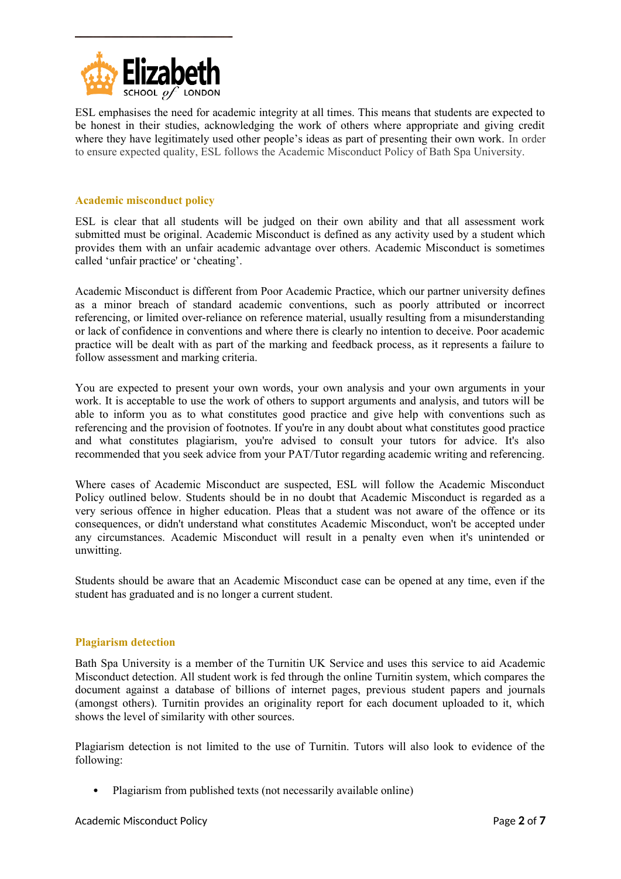

ESL emphasises the need for academic integrity at all times. This means that students are expected to be honest in their studies, acknowledging the work of others where appropriate and giving credit where they have legitimately used other people's ideas as part of presenting their own work. In order to ensure expected quality, ESL follows the Academic Misconduct Policy of Bath Spa University.

## **Academic misconduct policy**

ESL is clear that all students will be judged on their own ability and that all assessment work submitted must be original. Academic Misconduct is defined as any activity used by a student which provides them with an unfair academic advantage over others. Academic Misconduct is sometimes called 'unfair practice' or 'cheating'.

Academic Misconduct is different from Poor Academic Practice, which our partner university defines as a minor breach of standard academic conventions, such as poorly attributed or incorrect referencing, or limited over-reliance on reference material, usually resulting from a misunderstanding or lack of confidence in conventions and where there is clearly no intention to deceive. Poor academic practice will be dealt with as part of the marking and feedback process, as it represents a failure to follow assessment and marking criteria.

You are expected to present your own words, your own analysis and your own arguments in your work. It is acceptable to use the work of others to support arguments and analysis, and tutors will be able to inform you as to what constitutes good practice and give help with conventions such as referencing and the provision of footnotes. If you're in any doubt about what constitutes good practice and what constitutes plagiarism, you're advised to consult your tutors for advice. It's also recommended that you seek advice from your PAT/Tutor regarding academic writing and referencing.

Where cases of Academic Misconduct are suspected, ESL will follow the Academic Misconduct Policy outlined below. Students should be in no doubt that Academic Misconduct is regarded as a very serious offence in higher education. Pleas that a student was not aware of the offence or its consequences, or didn't understand what constitutes Academic Misconduct, won't be accepted under any circumstances. Academic Misconduct will result in a penalty even when it's unintended or unwitting.

Students should be aware that an Academic Misconduct case can be opened at any time, even if the student has graduated and is no longer a current student.

## **Plagiarism detection**

Bath Spa University is a member of the Turnitin UK Service and uses this service to aid Academic Misconduct detection. All student work is fed through the online Turnitin system, which compares the document against a database of billions of internet pages, previous student papers and journals (amongst others). Turnitin provides an originality report for each document uploaded to it, which shows the level of similarity with other sources.

Plagiarism detection is not limited to the use of Turnitin. Tutors will also look to evidence of the following:

• Plagiarism from published texts (not necessarily available online)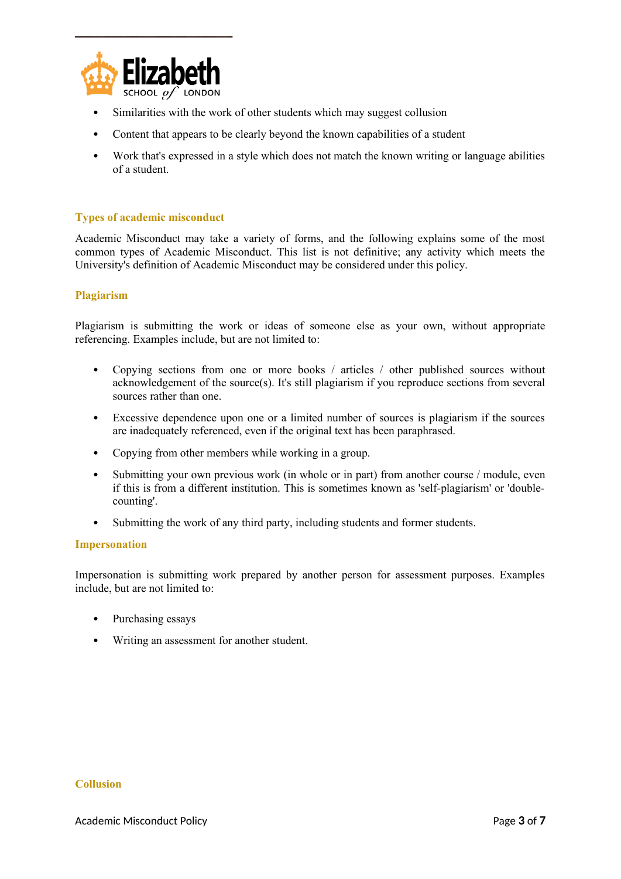

- Similarities with the work of other students which may suggest collusion
- Content that appears to be clearly beyond the known capabilities of a student
- Work that's expressed in a style which does not match the known writing or language abilities of a student.

## **Types of academic misconduct**

Academic Misconduct may take a variety of forms, and the following explains some of the most common types of Academic Misconduct. This list is not definitive; any activity which meets the University's definition of Academic Misconduct may be considered under this policy.

#### **Plagiarism**

Plagiarism is submitting the work or ideas of someone else as your own, without appropriate referencing. Examples include, but are not limited to:

- Copying sections from one or more books / articles / other published sources without acknowledgement of the source(s). It's still plagiarism if you reproduce sections from several sources rather than one.
- Excessive dependence upon one or a limited number of sources is plagiarism if the sources are inadequately referenced, even if the original text has been paraphrased.
- Copying from other members while working in a group.
- Submitting your own previous work (in whole or in part) from another course / module, even if this is from a different institution. This is sometimes known as 'self-plagiarism' or 'doublecounting'.
- Submitting the work of any third party, including students and former students.

#### **Impersonation**

Impersonation is submitting work prepared by another person for assessment purposes. Examples include, but are not limited to:

- Purchasing essays
- Writing an assessment for another student.

#### **Collusion**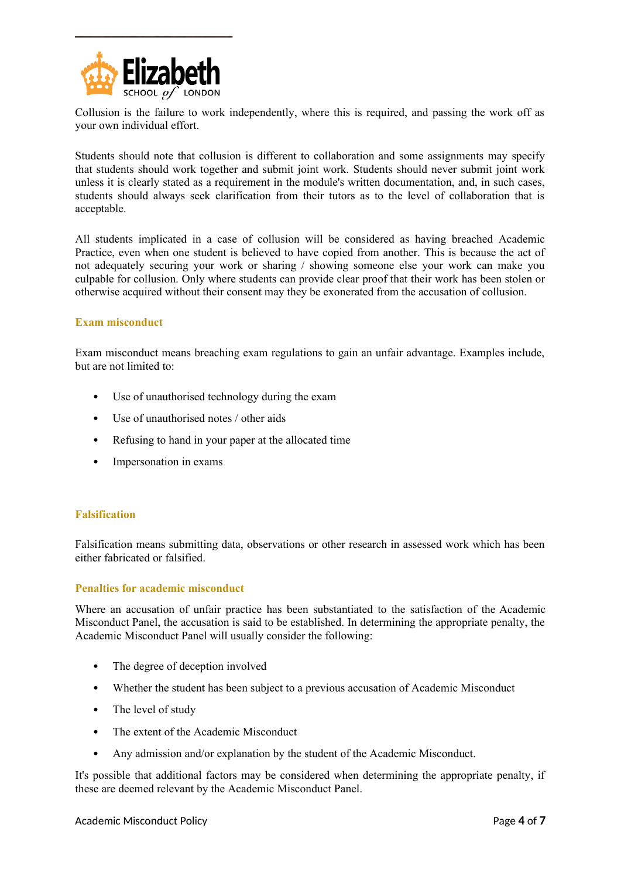

Collusion is the failure to work independently, where this is required, and passing the work off as your own individual effort.

Students should note that collusion is different to collaboration and some assignments may specify that students should work together and submit joint work. Students should never submit joint work unless it is clearly stated as a requirement in the module's written documentation, and, in such cases, students should always seek clarification from their tutors as to the level of collaboration that is acceptable.

All students implicated in a case of collusion will be considered as having breached Academic Practice, even when one student is believed to have copied from another. This is because the act of not adequately securing your work or sharing / showing someone else your work can make you culpable for collusion. Only where students can provide clear proof that their work has been stolen or otherwise acquired without their consent may they be exonerated from the accusation of collusion.

## **Exam misconduct**

Exam misconduct means breaching exam regulations to gain an unfair advantage. Examples include, but are not limited to:

- Use of unauthorised technology during the exam
- Use of unauthorised notes / other aids
- Refusing to hand in your paper at the allocated time
- Impersonation in exams

## **Falsification**

Falsification means submitting data, observations or other research in assessed work which has been either fabricated or falsified.

## **Penalties for academic misconduct**

Where an accusation of unfair practice has been substantiated to the satisfaction of the Academic Misconduct Panel, the accusation is said to be established. In determining the appropriate penalty, the Academic Misconduct Panel will usually consider the following:

- The degree of deception involved
- Whether the student has been subject to a previous accusation of Academic Misconduct
- The level of study
- The extent of the Academic Misconduct
- Any admission and/or explanation by the student of the Academic Misconduct.

It's possible that additional factors may be considered when determining the appropriate penalty, if these are deemed relevant by the Academic Misconduct Panel.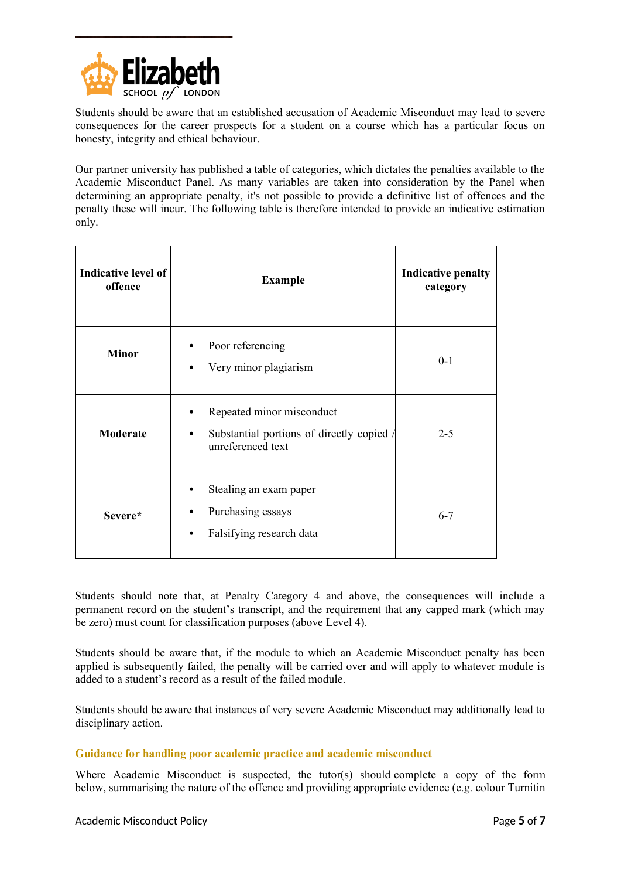

Students should be aware that an established accusation of Academic Misconduct may lead to severe consequences for the career prospects for a student on a course which has a particular focus on honesty, integrity and ethical behaviour.

Our partner university has published a table of categories, which dictates the penalties available to the Academic Misconduct Panel. As many variables are taken into consideration by the Panel when determining an appropriate penalty, it's not possible to provide a definitive list of offences and the penalty these will incur. The following table is therefore intended to provide an indicative estimation only.

| Indicative level of<br>offence | <b>Example</b>                                                                                   | <b>Indicative penalty</b><br>category |
|--------------------------------|--------------------------------------------------------------------------------------------------|---------------------------------------|
| <b>Minor</b>                   | Poor referencing<br>٠<br>Very minor plagiarism<br>٠                                              | $0-1$                                 |
| Moderate                       | Repeated minor misconduct<br>Substantial portions of directly copied /<br>٠<br>unreferenced text | $2 - 5$                               |
| Severe*                        | Stealing an exam paper<br>Purchasing essays<br>٠<br>Falsifying research data<br>٠                | $6 - 7$                               |

Students should note that, at Penalty Category 4 and above, the consequences will include a permanent record on the student's transcript, and the requirement that any capped mark (which may be zero) must count for classification purposes (above Level 4).

Students should be aware that, if the module to which an Academic Misconduct penalty has been applied is subsequently failed, the penalty will be carried over and will apply to whatever module is added to a student's record as a result of the failed module.

Students should be aware that instances of very severe Academic Misconduct may additionally lead to disciplinary action.

## **Guidance for handling poor academic practice and academic misconduct**

Where Academic Misconduct is suspected, the tutor(s) should complete a copy of the form below, summarising the nature of the offence and providing appropriate evidence (e.g. colour Turnitin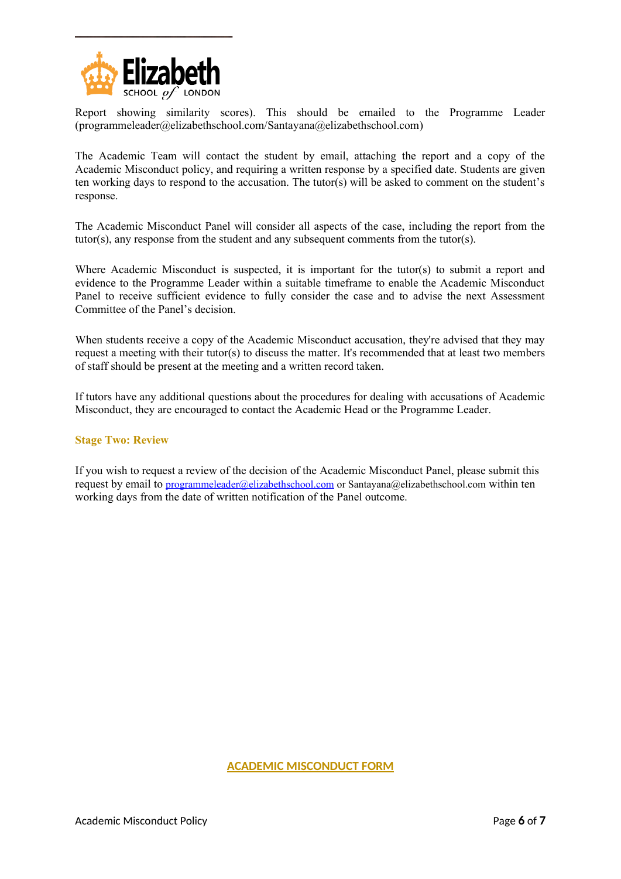

Report showing similarity scores). This should be emailed to the Programme Leader (programmeleader@elizabethschool.com/Santayana@elizabethschool.com)

The Academic Team will contact the student by email, attaching the report and a copy of the Academic Misconduct policy, and requiring a written response by a specified date. Students are given ten working days to respond to the accusation. The tutor(s) will be asked to comment on the student's response.

The Academic Misconduct Panel will consider all aspects of the case, including the report from the tutor(s), any response from the student and any subsequent comments from the tutor(s).

Where Academic Misconduct is suspected, it is important for the tutor(s) to submit a report and evidence to the Programme Leader within a suitable timeframe to enable the Academic Misconduct Panel to receive sufficient evidence to fully consider the case and to advise the next Assessment Committee of the Panel's decision.

When students receive a copy of the Academic Misconduct accusation, they're advised that they may request a meeting with their tutor(s) to discuss the matter. It's recommended that at least two members of staff should be present at the meeting and a written record taken.

If tutors have any additional questions about the procedures for dealing with accusations of Academic Misconduct, they are encouraged to contact the Academic Head or the Programme Leader.

#### **Stage Two: Review**

If you wish to request a review of the decision of the Academic Misconduct Panel, please submit this request by email to [programmeleader@elizabethschool.com](mailto:programmeleader@elizabethschool.com) or Santayana@elizabethschool.com within ten working days from the date of written notification of the Panel outcome.

# **ACADEMIC MISCONDUCT FORM**